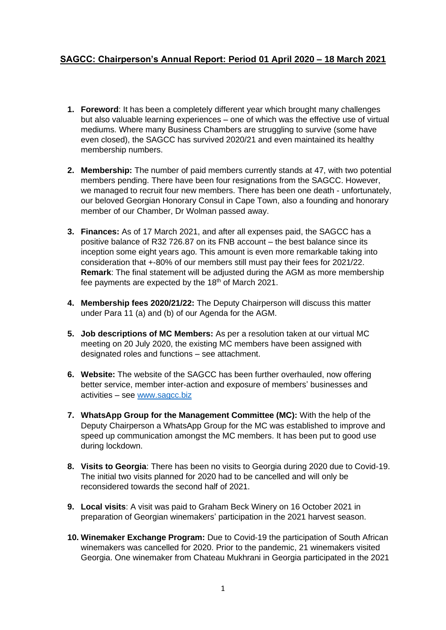## **SAGCC: Chairperson's Annual Report: Period 01 April 2020 – 18 March 2021**

- **1. Foreword**: It has been a completely different year which brought many challenges but also valuable learning experiences – one of which was the effective use of virtual mediums. Where many Business Chambers are struggling to survive (some have even closed), the SAGCC has survived 2020/21 and even maintained its healthy membership numbers.
- **2. Membership:** The number of paid members currently stands at 47, with two potential members pending. There have been four resignations from the SAGCC. However, we managed to recruit four new members. There has been one death - unfortunately, our beloved Georgian Honorary Consul in Cape Town, also a founding and honorary member of our Chamber, Dr Wolman passed away.
- **3. Finances:** As of 17 March 2021, and after all expenses paid, the SAGCC has a positive balance of R32 726.87 on its FNB account – the best balance since its inception some eight years ago. This amount is even more remarkable taking into consideration that +-80% of our members still must pay their fees for 2021/22. **Remark**: The final statement will be adjusted during the AGM as more membership fee payments are expected by the  $18<sup>th</sup>$  of March 2021.
- **4. Membership fees 2020/21/22:** The Deputy Chairperson will discuss this matter under Para 11 (a) and (b) of our Agenda for the AGM.
- **5. Job descriptions of MC Members:** As per a resolution taken at our virtual MC meeting on 20 July 2020, the existing MC members have been assigned with designated roles and functions – see attachment.
- **6. Website:** The website of the SAGCC has been further overhauled, now offering better service, member inter-action and exposure of members' businesses and activities – see [www.sagcc.biz](http://www.sagcc.biz/)
- **7. WhatsApp Group for the Management Committee (MC):** With the help of the Deputy Chairperson a WhatsApp Group for the MC was established to improve and speed up communication amongst the MC members. It has been put to good use during lockdown.
- **8. Visits to Georgia**: There has been no visits to Georgia during 2020 due to Covid-19. The initial two visits planned for 2020 had to be cancelled and will only be reconsidered towards the second half of 2021.
- **9. Local visits**: A visit was paid to Graham Beck Winery on 16 October 2021 in preparation of Georgian winemakers' participation in the 2021 harvest season.
- **10. Winemaker Exchange Program:** Due to Covid-19 the participation of South African winemakers was cancelled for 2020. Prior to the pandemic, 21 winemakers visited Georgia. One winemaker from Chateau Mukhrani in Georgia participated in the 2021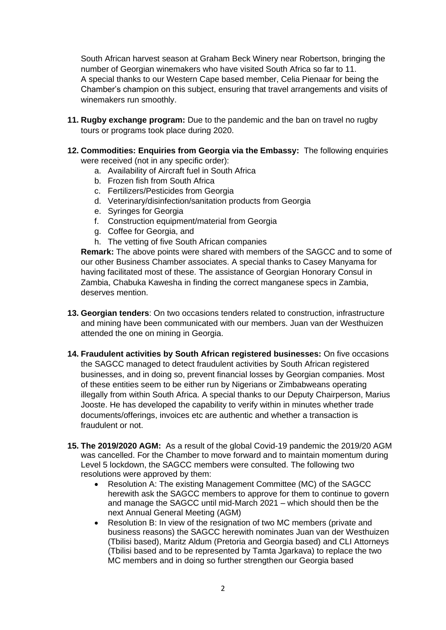South African harvest season at Graham Beck Winery near Robertson, bringing the number of Georgian winemakers who have visited South Africa so far to 11. A special thanks to our Western Cape based member, Celia Pienaar for being the Chamber's champion on this subject, ensuring that travel arrangements and visits of winemakers run smoothly.

- **11. Rugby exchange program:** Due to the pandemic and the ban on travel no rugby tours or programs took place during 2020.
- **12. Commodities: Enquiries from Georgia via the Embassy:** The following enquiries were received (not in any specific order):
	- a. Availability of Aircraft fuel in South Africa
	- b. Frozen fish from South Africa
	- c. Fertilizers/Pesticides from Georgia
	- d. Veterinary/disinfection/sanitation products from Georgia
	- e. Syringes for Georgia
	- f. Construction equipment/material from Georgia
	- g. Coffee for Georgia, and
	- h. The vetting of five South African companies

**Remark:** The above points were shared with members of the SAGCC and to some of our other Business Chamber associates. A special thanks to Casey Manyama for having facilitated most of these. The assistance of Georgian Honorary Consul in Zambia, Chabuka Kawesha in finding the correct manganese specs in Zambia, deserves mention.

- **13. Georgian tenders**: On two occasions tenders related to construction, infrastructure and mining have been communicated with our members. Juan van der Westhuizen attended the one on mining in Georgia.
- **14. Fraudulent activities by South African registered businesses:** On five occasions the SAGCC managed to detect fraudulent activities by South African registered businesses, and in doing so, prevent financial losses by Georgian companies. Most of these entities seem to be either run by Nigerians or Zimbabweans operating illegally from within South Africa. A special thanks to our Deputy Chairperson, Marius Jooste. He has developed the capability to verify within in minutes whether trade documents/offerings, invoices etc are authentic and whether a transaction is fraudulent or not.
- **15. The 2019/2020 AGM:** As a result of the global Covid-19 pandemic the 2019/20 AGM was cancelled. For the Chamber to move forward and to maintain momentum during Level 5 lockdown, the SAGCC members were consulted. The following two resolutions were approved by them:
	- Resolution A: The existing Management Committee (MC) of the SAGCC herewith ask the SAGCC members to approve for them to continue to govern and manage the SAGCC until mid-March 2021 – which should then be the next Annual General Meeting (AGM)
	- Resolution B: In view of the resignation of two MC members (private and business reasons) the SAGCC herewith nominates Juan van der Westhuizen (Tbilisi based), Maritz Aldum (Pretoria and Georgia based) and CLI Attorneys (Tbilisi based and to be represented by Tamta Jgarkava) to replace the two MC members and in doing so further strengthen our Georgia based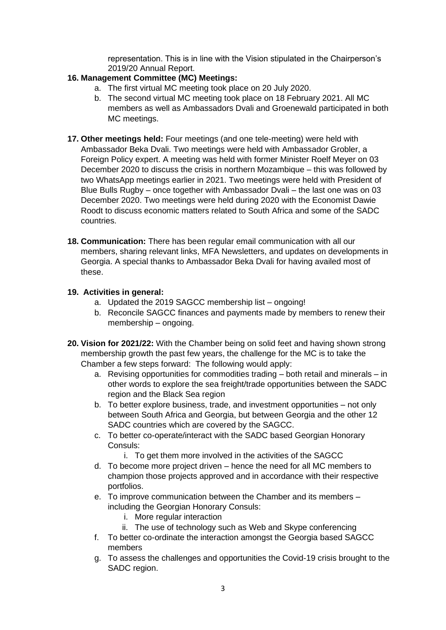representation. This is in line with the Vision stipulated in the Chairperson's 2019/20 Annual Report.

## **16. Management Committee (MC) Meetings:**

- a. The first virtual MC meeting took place on 20 July 2020.
- b. The second virtual MC meeting took place on 18 February 2021. All MC members as well as Ambassadors Dvali and Groenewald participated in both MC meetings.
- **17. Other meetings held:** Four meetings (and one tele-meeting) were held with Ambassador Beka Dvali. Two meetings were held with Ambassador Grobler, a Foreign Policy expert. A meeting was held with former Minister Roelf Meyer on 03 December 2020 to discuss the crisis in northern Mozambique – this was followed by two WhatsApp meetings earlier in 2021. Two meetings were held with President of Blue Bulls Rugby – once together with Ambassador Dvali – the last one was on 03 December 2020. Two meetings were held during 2020 with the Economist Dawie Roodt to discuss economic matters related to South Africa and some of the SADC countries.
- **18. Communication:** There has been regular email communication with all our members, sharing relevant links, MFA Newsletters, and updates on developments in Georgia. A special thanks to Ambassador Beka Dvali for having availed most of these.

## **19. Activities in general:**

- a. Updated the 2019 SAGCC membership list ongoing!
- b. Reconcile SAGCC finances and payments made by members to renew their membership – ongoing.
- **20. Vision for 2021/22:** With the Chamber being on solid feet and having shown strong membership growth the past few years, the challenge for the MC is to take the Chamber a few steps forward: The following would apply:
	- a. Revising opportunities for commodities trading both retail and minerals in other words to explore the sea freight/trade opportunities between the SADC region and the Black Sea region
	- b. To better explore business, trade, and investment opportunities not only between South Africa and Georgia, but between Georgia and the other 12 SADC countries which are covered by the SAGCC.
	- c. To better co-operate/interact with the SADC based Georgian Honorary Consuls:
		- i. To get them more involved in the activities of the SAGCC
	- d. To become more project driven hence the need for all MC members to champion those projects approved and in accordance with their respective portfolios.
	- e. To improve communication between the Chamber and its members including the Georgian Honorary Consuls:
		- i. More regular interaction
		- ii. The use of technology such as Web and Skype conferencing
	- f. To better co-ordinate the interaction amongst the Georgia based SAGCC members
	- g. To assess the challenges and opportunities the Covid-19 crisis brought to the SADC region.